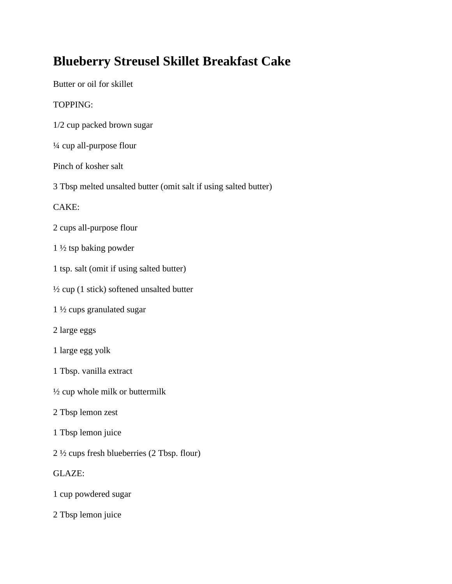## **Blueberry Streusel Skillet Breakfast Cake**

Butter or oil for skillet TOPPING:

- 1/2 cup packed brown sugar
- ¼ cup all-purpose flour

## Pinch of kosher salt

3 Tbsp melted unsalted butter (omit salt if using salted butter)

## CAKE:

- 2 cups all-purpose flour
- 1 ½ tsp baking powder
- 1 tsp. salt (omit if using salted butter)
- ½ cup (1 stick) softened unsalted butter
- 1 ½ cups granulated sugar
- 2 large eggs
- 1 large egg yolk
- 1 Tbsp. vanilla extract
- ½ cup whole milk or buttermilk
- 2 Tbsp lemon zest
- 1 Tbsp lemon juice
- 2 ½ cups fresh blueberries (2 Tbsp. flour)
- GLAZE:
- 1 cup powdered sugar
- 2 Tbsp lemon juice